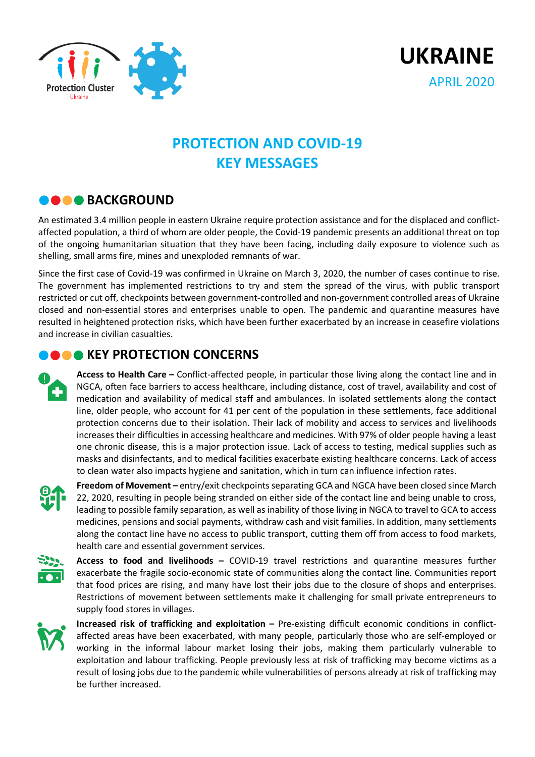



## **PROTECTION AND COVID-19 KEY MESSAGES**

## **BACKGROUND**

An estimated 3.4 million people in eastern Ukraine require protection assistance and for the displaced and conflictaffected population, a third of whom are older people, the Covid-19 pandemic presents an additional threat on top of the ongoing humanitarian situation that they have been facing, including daily exposure to violence such as shelling, small arms fire, mines and unexploded remnants of war.

Since the first case of Covid-19 was confirmed in Ukraine on March 3, 2020, the number of cases continue to rise. The government has implemented restrictions to try and stem the spread of the virus, with public transport restricted or cut off, checkpoints between government-controlled and non-government controlled areas of Ukraine closed and non-essential stores and enterprises unable to open. The pandemic and quarantine measures have resulted in heightened protection risks, which have been further exacerbated by an increase in ceasefire violations and increase in civilian casualties.

## **NO CONCERNS**

**Access to Health Care –** Conflict-affected people, in particular those living along the contact line and in NGCA, often face barriers to access healthcare, including distance, cost of travel, availability and cost of medication and availability of medical staff and ambulances. In isolated settlements along the contact line, older people, who account for 41 per cent of the population in these settlements, face additional protection concerns due to their isolation. Their lack of mobility and access to services and livelihoods increases their difficulties in accessing healthcare and medicines. With 97% of older people having a least one chronic disease, this is a major protection issue. Lack of access to testing, medical supplies such as masks and disinfectants, and to medical facilities exacerbate existing healthcare concerns. Lack of access to clean water also impacts hygiene and sanitation, which in turn can influence infection rates.



**Freedom of Movement –** entry/exit checkpoints separating GCA and NGCA have been closed since March 22, 2020, resulting in people being stranded on either side of the contact line and being unable to cross, leading to possible family separation, as well as inability of those living in NGCA to travel to GCA to access medicines, pensions and social payments, withdraw cash and visit families. In addition, many settlements along the contact line have no access to public transport, cutting them off from access to food markets, health care and essential government services.



**Access to food and livelihoods –** COVID-19 travel restrictions and quarantine measures further exacerbate the fragile socio-economic state of communities along the contact line. Communities report that food prices are rising, and many have lost their jobs due to the closure of shops and enterprises. Restrictions of movement between settlements make it challenging for small private entrepreneurs to supply food stores in villages.



**Increased risk of trafficking and exploitation –** Pre-existing difficult economic conditions in conflictaffected areas have been exacerbated, with many people, particularly those who are self-employed or working in the informal labour market losing their jobs, making them particularly vulnerable to exploitation and labour trafficking. People previously less at risk of trafficking may become victims as a result of losing jobs due to the pandemic while vulnerabilities of persons already at risk of trafficking may be further increased.